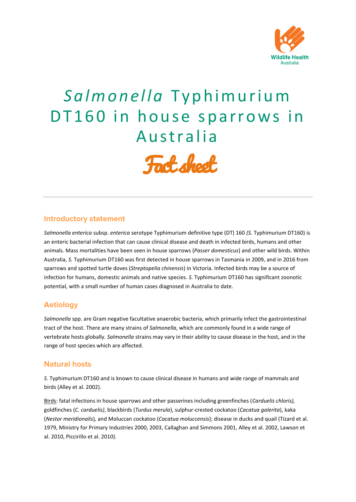

# *S a l m o n e l l a* T y p h i m u r i u m DT160 in house sparrows in Australia



## **Introductory statement**

*Salmonella enterica* subsp. *enterica* serotype Typhimurium definitive type (DT) 160 *(S.* Typhimurium DT160) is an enteric bacterial infection that can cause clinical disease and death in infected birds, humans and other animals. Mass mortalities have been seen in house sparrows (*Passer domesticus*) and other wild birds. Within Australia, *S.* Typhimurium DT160 was first detected in house sparrows in Tasmania in 2009, and in 2016 from sparrows and spotted turtle doves (*Streptopelia chinensis*) in Victoria. Infected birds may be a source of infection for humans, domestic animals and native species. *S.* Typhimurium DT160 has significant zoonotic potential, with a small number of human cases diagnosed in Australia to date.

# **Aetiology**

*Salmonella* spp. are Gram negative facultative anaerobic bacteria, which primarily infect the gastrointestinal tract of the host. There are many strains of *Salmonella*, which are commonly found in a wide range of vertebrate hosts globally*. Salmonella* strains may vary in their ability to cause disease in the host, and in the range of host species which are affected.

#### **Natural hosts**

*S*. Typhimurium DT160 and is known to cause clinical disease in humans and wide range of mammals and birds (Alley et al. 2002).

Birds: fatal infections in house sparrows and other passerines including greenfinches (*Carduelis chloris),*  goldfinches (*C. carduelis)*, blackbirds (*Turdus merula*), sulphur-crested cockatoo (*Cacatua galerita*), kaka (*Nestor meridionalis*)*,* and Moluccan cockatoo (*Cacatua moluccensis*); disease in ducks and quail (Tizard et al. 1979, Ministry for Primary Industries 2000, 2003, Callaghan and Simmons 2001, Alley et al. 2002, Lawson et al. 2010, Piccirillo et al. 2010).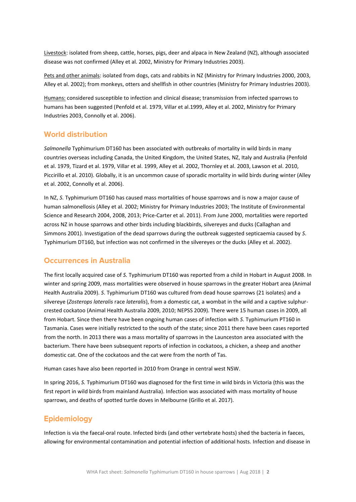Livestock: isolated from sheep, cattle, horses, pigs, deer and alpaca in New Zealand (NZ), although associated disease was not confirmed (Alley et al. 2002, Ministry for Primary Industries 2003).

Pets and other animals: isolated from dogs, cats and rabbits in NZ (Ministry for Primary Industries 2000, 2003, Alley et al. 2002); from monkeys, otters and shellfish in other countries (Ministry for Primary Industries 2003).

Humans: considered susceptible to infection and clinical disease; transmission from infected sparrows to humans has been suggested (Penfold et al. 1979, Villar et al.1999, Alley et al. 2002, Ministry for Primary Industries 2003, Connolly et al. 2006).

#### **World distribution**

*Salmonella* Typhimurium DT160 has been associated with outbreaks of mortality in wild birds in many countries overseas including Canada, the United Kingdom, the United States, NZ, Italy and Australia (Penfold et al. 1979, Tizard et al. 1979, Villar et al. 1999, Alley et al. 2002, Thornley et al. 2003, Lawson et al. 2010, Piccirillo et al. 2010). Globally, it is an uncommon cause of sporadic mortality in wild birds during winter (Alley et al. 2002, Connolly et al. 2006).

In NZ, *S.* Typhimurium DT160 has caused mass mortalities of house sparrows and is now a major cause of human salmonellosis (Alley et al. 2002; Ministry for Primary Industries 2003; The Institute of Environmental Science and Research 2004, 2008, 2013; Price-Carter et al. 2011). From June 2000, mortalities were reported across NZ in house sparrows and other birds including blackbirds, silvereyes and ducks (Callaghan and Simmons 2001). Investigation of the dead sparrows during the outbreak suggested septicaemia caused by *S*. Typhimurium DT160, but infection was not confirmed in the silvereyes or the ducks (Alley et al. 2002).

#### **Occurrences in Australia**

The first locally acquired case of *S.* Typhimurium DT160 was reported from a child in Hobart in August 2008. In winter and spring 2009, mass mortalities were observed in house sparrows in the greater Hobart area (Animal Health Australia 2009). *S*. Typhimurium DT160 was cultured from dead house sparrows (21 isolates) and a silvereye (*Zosterops lateralis* race *lateralis*), from a domestic cat, a wombat in the wild and a captive sulphurcrested cockatoo (Animal Health Australia 2009, 2010; NEPSS 2009). There were 15 human cases in 2009, all from Hobart. Since then there have been ongoing human cases of infection with *S*. Typhimurium PT160 in Tasmania. Cases were initially restricted to the south of the state; since 2011 there have been cases reported from the north. In 2013 there was a mass mortality of sparrows in the Launceston area associated with the bacterium. There have been subsequent reports of infection in cockatoos, a chicken, a sheep and another domestic cat. One of the cockatoos and the cat were from the north of Tas.

Human cases have also been reported in 2010 from Orange in central west NSW.

In spring 2016, *S.* Typhimurium DT160 was diagnosed for the first time in wild birds in Victoria (this was the first report in wild birds from mainland Australia). Infection was associated with mass mortality of house sparrows, and deaths of spotted turtle doves in Melbourne (Grillo et al. 2017).

#### **Epidemiology**

Infection is via the faecal-oral route. Infected birds (and other vertebrate hosts) shed the bacteria in faeces, allowing for environmental contamination and potential infection of additional hosts. Infection and disease in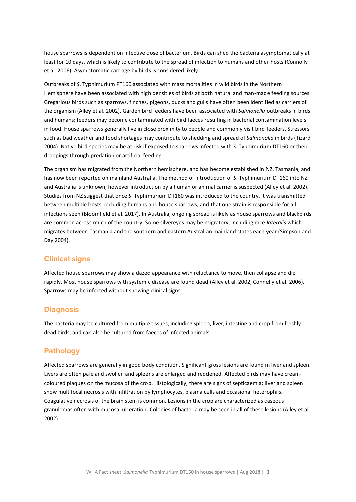house sparrows is dependent on infective dose of bacterium. Birds can shed the bacteria asymptomatically at least for 10 days, which is likely to contribute to the spread of infection to humans and other hosts (Connolly et al. 2006). Asymptomatic carriage by birds is considered likely.

Outbreaks of *S*. Typhimurium PT160 associated with mass mortalities in wild birds in the Northern Hemisphere have been associated with high densities of birds at both natural and man-made feeding sources. Gregarious birds such as sparrows, finches, pigeons, ducks and gulls have often been identified as carriers of the organism (Alley et al. 2002). Garden bird feeders have been associated with *Salmonella* outbreaks in birds and humans; feeders may become contaminated with bird faeces resulting in bacterial contamination levels in food. House sparrows generally live in close proximity to people and commonly visit bird feeders. Stressors such as bad weather and food shortages may contribute to shedding and spread of *Salmonella* in birds (Tizard 2004). Native bird species may be at risk if exposed to sparrows infected with *S*. Typhimurium DT160 or their droppings through predation or artificial feeding.

The organism has migrated from the Northern hemisphere, and has become established in NZ, Tasmania, and has now been reported on mainland Australia. The method of introduction of *S*. Typhimurium DT160 into NZ and Australia is unknown, however introduction by a human or animal carrier is suspected (Alley et al. 2002). Studies from NZ suggest that once *S*. Typhimurium DT160 was introduced to the country, it was transmitted between multiple hosts, including humans and house sparrows, and that one strain is responsible for all infections seen (Bloomfield et al. 2017). In Australia, ongoing spread is likely as house sparrows and blackbirds are common across much of the country. Some silvereyes may be migratory, including race *lateralis* which migrates between Tasmania and the southern and eastern Australian mainland states each year (Simpson and Day 2004).

#### **Clinical signs**

Affected house sparrows may show a dazed appearance with reluctance to move, then collapse and die rapidly. Most house sparrows with systemic disease are found dead (Alley et al. 2002, Connelly et al. 2006). Sparrows may be infected without showing clinical signs.

#### **Diagnosis**

The bacteria may be cultured from multiple tissues, including spleen, liver, intestine and crop from freshly dead birds, and can also be cultured from faeces of infected animals.

#### **Pathology**

Affected sparrows are generally in good body condition. Significant gross lesions are found in liver and spleen. Livers are often pale and swollen and spleens are enlarged and reddened. Affected birds may have creamcoloured plaques on the mucosa of the crop. Histologically, there are signs of septicaemia; liver and spleen show multifocal necrosis with infiltration by lymphocytes, plasma cells and occasional heterophils. Coagulative necrosis of the brain stem is common. Lesions in the crop are characterized as caseous granulomas often with mucosal ulceration. Colonies of bacteria may be seen in all of these lesions (Alley et al. 2002).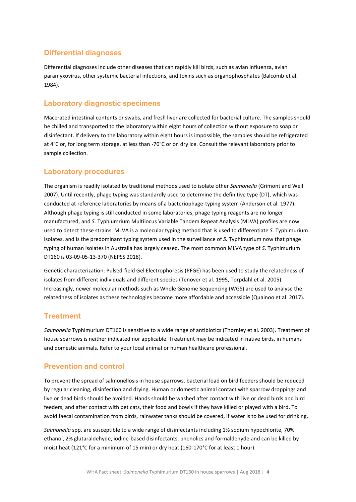# **Differential diagnoses**

Differential diagnoses include other diseases that can rapidly kill birds, such as avian influenza, avian paramyxovirus, other systemic bacterial infections, and toxins such as organophosphates (Balcomb et al. 1984).

# **Laboratory diagnostic specimens**

Macerated intestinal contents or swabs, and fresh liver are collected for bacterial culture. The samples should be chilled and transported to the laboratory within eight hours of collection without exposure to soap or disinfectant. If delivery to the laboratory within eight hours is impossible, the samples should be refrigerated at 4°C or, for long term storage, at less than -70°C or on dry ice. Consult the relevant laboratory prior to sample collection.

## **Laboratory procedures**

The organism is readily isolated by traditional methods used to isolate other *Salmonella* (Grimont and Weil 2007). Until recently, phage typing was standardly used to determine the definitive type (DT), which was conducted at reference laboratories by means of a bacteriophage-typing system (Anderson et al. 1977). Although phage typing is still conducted in some laboratories, phage typing reagents are no longer manufactured, and *S.* Typhiumrium Multilocus Variable Tandem Repeat Analysis (MLVA) profiles are now used to detect these strains. MLVA is a molecular typing method that is used to differentiate *S.* Typhimurium isolates, and is the predominant typing system used in the surveillance of *S.* Typhimurium now that phage typing of human isolates in Australia has largely ceased. The most common MLVA type of *S*. Typhimurium DT160 is 03-09-05-13-370 (NEPSS 2018).

Genetic characterization: Pulsed-field Gel Electrophoresis (PFGE) has been used to study the relatedness of isolates from different individuals and different species (Tenover et al. 1995, Torpdahl et al. 2005). Increasingly, newer molecular methods such as Whole Genome Sequencing (WGS) are used to analyse the relatedness of isolates as these technologies become more affordable and accessible (Quainoo et al. 2017).

# **Treatment**

*Salmonella* Typhimurium DT160 is sensitive to a wide range of antibiotics (Thornley et al. 2003). Treatment of house sparrows is neither indicated nor applicable. Treatment may be indicated in native birds, in humans and domestic animals. Refer to your local animal or human healthcare professional.

# **Prevention and control**

To prevent the spread of salmonellosis in house sparrows, bacterial load on bird feeders should be reduced by regular cleaning, disinfection and drying. Human or domestic animal contact with sparrow droppings and live or dead birds should be avoided. Hands should be washed after contact with live or dead birds and bird feeders, and after contact with pet cats, their food and bowls if they have killed or played with a bird. To avoid faecal contamination from birds, rainwater tanks should be covered, if water is to be used for drinking.

*Salmonella* spp. are susceptible to a wide range of disinfectants including 1% sodium hypochlorite, 70% ethanol, 2% glutaraldehyde, iodine-based disinfectants, phenolics and formaldehyde and can be killed by moist heat (121°C for a minimum of 15 min) or dry heat (160-170°C for at least 1 hour).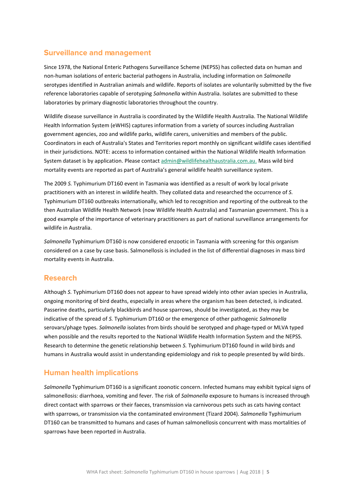# **Surveillance and management**

Since 1978, the National Enteric Pathogens Surveillance Scheme (NEPSS) has collected data on human and non-human isolations of enteric bacterial pathogens in Australia, including information on *Salmonella* serotypes identified in Australian animals and wildlife. Reports of isolates are voluntarily submitted by the five reference laboratories capable of serotyping *Salmonella* within Australia. Isolates are submitted to these laboratories by primary diagnostic laboratories throughout the country.

Wildlife disease surveillance in Australia is coordinated by the Wildlife Health Australia. The National Wildlife Health Information System (eWHIS) captures information from a variety of sources including Australian government agencies, zoo and wildlife parks, wildlife carers, universities and members of the public. Coordinators in each of Australia's States and Territories report monthly on significant wildlife cases identified in their jurisdictions. NOTE: access to information contained within the National Wildlife Health Information System dataset is by application. Please contac[t admin@wildlifehealthaustralia.com.au.](mailto:admin@wildlifehealthaustralia.com.au) Mass wild bird mortality events are reported as part of Australia's general wildlife health surveillance system.

The 2009 *S.* Typhimurium DT160 event in Tasmania was identified as a result of work by local private practitioners with an interest in wildlife health. They collated data and researched the occurrence of *S.* Typhimurium DT160 outbreaks internationally, which led to recognition and reporting of the outbreak to the then Australian Wildlife Health Network (now Wildlife Health Australia) and Tasmanian government. This is a good example of the importance of veterinary practitioners as part of national surveillance arrangements for wildlife in Australia.

*Salmonella* Typhimurium DT160 is now considered enzootic in Tasmania with screening for this organism considered on a case by case basis. Salmonellosis is included in the list of differential diagnoses in mass bird mortality events in Australia.

#### **Research**

Although *S.* Typhimurium DT160 does not appear to have spread widely into other avian species in Australia, ongoing monitoring of bird deaths, especially in areas where the organism has been detected, is indicated. Passerine deaths, particularly blackbirds and house sparrows, should be investigated, as they may be indicative of the spread of *S.* Typhimurium DT160 or the emergence of other pathogenic *Salmonella* serovars/phage types. *Salmonella* isolates from birds should be serotyped and phage-typed or MLVA typed when possible and the results reported to the National Wildlife Health Information System and the NEPSS. Research to determine the genetic relationship between *S.* Typhimurium DT160 found in wild birds and humans in Australia would assist in understanding epidemiology and risk to people presented by wild birds.

# **Human health implications**

*Salmonella* Typhimurium DT160 is a significant zoonotic concern. Infected humans may exhibit typical signs of salmonellosis: diarrhoea, vomiting and fever. The risk of *Salmonella* exposure to humans is increased through direct contact with sparrows or their faeces, transmission via carnivorous pets such as cats having contact with sparrows, or transmission via the contaminated environment (Tizard 2004). *Salmonella* Typhimurium DT160 can be transmitted to humans and cases of human salmonellosis concurrent with mass mortalities of sparrows have been reported in Australia.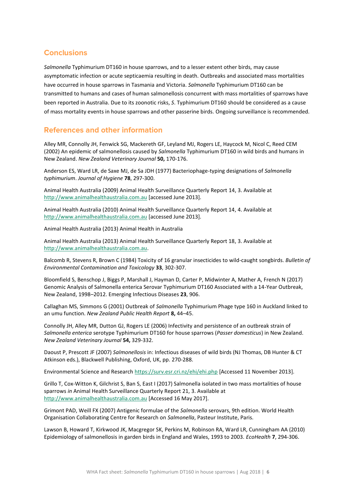# **Conclusions**

*Salmonella* Typhimurium DT160 in house sparrows, and to a lesser extent other birds, may cause asymptomatic infection or acute septicaemia resulting in death. Outbreaks and associated mass mortalities have occurred in house sparrows in Tasmania and Victoria. *Salmonella* Typhimurium DT160 can be transmitted to humans and cases of human salmonellosis concurrent with mass mortalities of sparrows have been reported in Australia. Due to its zoonotic risks, *S*. Typhimurium DT160 should be considered as a cause of mass mortality events in house sparrows and other passerine birds. Ongoing surveillance is recommended.

## **References and other information**

Alley MR, Connolly JH, Fenwick SG, Mackereth GF, Leyland MJ, Rogers LE, Haycock M, Nicol C, Reed CEM (2002) An epidemic of salmonellosis caused by *Salmonella* Typhimurium DT160 in wild birds and humans in New Zealand. *New Zealand Veterinary Journal* **50,** 170-176.

Anderson ES, Ward LR, de Saxe MJ, de Sa JDH (1977) Bacteriophage-typing designations of *Salmonella typhimurium*. *Journal of Hygiene* **78**, 297-300.

Animal Health Australia (2009) Animal Health Surveillance Quarterly Report 14, 3. Available at [http://www.animalhealthaustralia.com.au](http://www.animalhealthaustralia.com.au/) [accessed June 2013].

Animal Health Australia (2010) Animal Health Surveillance Quarterly Report 14, 4. Available at [http://www.animalhealthaustralia.com.au](http://www.animalhealthaustralia.com.au/) [accessed June 2013].

Animal Health Australia (2013) Animal Health in Australia

Animal Health Australia (2013) Animal Health Surveillance Quarterly Report 18, 3. Available at [http://www.animalhealthaustralia.com.au.](http://www.animalhealthaustralia.com.au/)

Balcomb R, Stevens R, Brown C (1984) Toxicity of 16 granular insecticides to wild-caught songbirds. *Bulletin of Environmental Contamination and Toxicology* **33**, 302-307.

Bloomfield S, Benschop J, Biggs P, Marshall J, Hayman D, Carter P, Midwinter A, Mather A, French N (2017) Genomic Analysis of Salmonella enterica Serovar Typhimurium DT160 Associated with a 14-Year Outbreak, New Zealand, 1998–2012. Emerging Infectious Diseases **23**, 906.

Callaghan MS, Simmons G (2001) Outbreak of *Salmonella* Typhimurium Phage type 160 in Auckland linked to an umu function. *New Zealand Public Health Report* **8,** 44–45.

Connolly JH, Alley MR, Dutton GJ, Rogers LE (2006) Infectivity and persistence of an outbreak strain of *Salmonella enterica* serotype Typhimurium DT160 for house sparrows (*Passer domesticus*) in New Zealand. *New Zealand Veterinary Journal* **54,** 329-332.

Daoust P, Prescott JF (2007) *Salmonellosis* in: Infectious diseases of wild birds (NJ Thomas, DB Hunter & CT Atkinson eds.), Blackwell Publishing, Oxford, UK, pp. 270-288.

Environmental Science and Research<https://surv.esr.cri.nz/ehi/ehi.php> [Accessed 11 November 2013].

Grillo T, Cox-Witton K, Gilchrist S, Ban S, East I (2017) Salmonella isolated in two mass mortalities of house sparrows *in* Animal Health Surveillance Quarterly Report 21, 3. Available at [http://www.animalhealthaustralia.com.au](http://www.animalhealthaustralia.com.au/) [Accessed 16 May 2017].

Grimont PAD, Weill FX (2007) Antigenic formulae of the *Salmonella* serovars, 9th edition. World Health Organisation Collaborating Centre for Research on *Salmonella*, Pasteur Institute, Paris.

Lawson B, Howard T, Kirkwood JK, Macgregor SK, Perkins M, Robinson RA, Ward LR, Cunningham AA (2010) Epidemiology of salmonellosis in garden birds in England and Wales, 1993 to 2003. *EcoHealth* **7**, 294-306.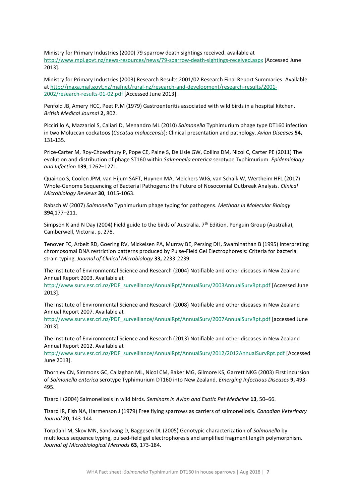Ministry for Primary Industries (2000) 79 sparrow death sightings received. available at http://www.mpi.govt.nz/news-resources/news/79-sparrow-death-sightings-received.aspx [Accessed June 2013].

Ministry for Primary Industries (2003) Research Results 2001/02 Research Final Report Summaries. Available at http://maxa.maf.govt.nz/mafnet/rural-nz/research-and-development/research-results/2001- 2002/research-results-01-02.pdf [Accessed June 2013].

Penfold JB, Amery HCC, Peet PJM (1979) Gastroenteritis associated with wild birds in a hospital kitchen. *British Medical Journal* **2,** 802.

Piccirillo A, Mazzariol S, Caliari D, Menandro ML (2010) *Salmonella* Typhimurium phage type DT160 infection in two Moluccan cockatoos (*Cacatua moluccensis*): Clinical presentation and pathology. *Avian Diseases* **54,** 131-135.

Price-Carter M, Roy-Chowdhury P, Pope CE, Paine S, De Lisle GW, Collins DM, Nicol C, Carter PE (2011) The evolution and distribution of phage ST160 within *Salmonella enterica* serotype Typhimurium. *Epidemiology and Infection* **139**, 1262–1271.

Quainoo S, Coolen JPM, van Hijum SAFT, Huynen MA, Melchers WJG, van Schaik W, Wertheim HFL (2017) Whole-Genome Sequencing of Bacterial Pathogens: the Future of Nosocomial Outbreak Analysis. *Clinical Microbiology Reviews* **30**, 1015-1063.

Rabsch W (2007) *Salmonella* Typhimurium phage typing for pathogens. *Methods in Molecular Biology* **394**,177–211.

Simpson K and N Day (2004) Field guide to the birds of Australia. 7<sup>th</sup> Edition. Penguin Group (Australia), Camberwell, Victoria. p. 278.

Tenover FC, Arbeit RD, Goering RV, Mickelsen PA, Murray BE, Persing DH, Swaminathan B (1995) Interpreting chromosomal DNA restriction patterns produced by Pulse-Field Gel Electrophoresis: Criteria for bacterial strain typing. *Journal of Clinical Microbiology* **33,** 2233-2239.

The Institute of Environmental Science and Research (2004) Notifiable and other diseases in New Zealand Annual Report 2003. Available at

http://www.surv.esr.cri.nz/PDF\_surveillance/AnnualRpt/AnnualSurv/2003AnnualSurvRpt.pdf [Accessed June 2013].

The Institute of Environmental Science and Research (2008) Notifiable and other diseases in New Zealand Annual Report 2007. Available at

http://www.surv.esr.cri.nz/PDF\_surveillance/AnnualRpt/AnnualSurv/2007AnnualSurvRpt.pdf [accessed June 2013].

The Institute of Environmental Science and Research (2013) Notifiable and other diseases in New Zealand Annual Report 2012. Available at

http://www.surv.esr.cri.nz/PDF\_surveillance/AnnualRpt/AnnualSurv/2012/2012AnnualSurvRpt.pdf [Accessed June 2013].

Thornley CN, Simmons GC, Callaghan ML, Nicol CM, Baker MG, Gilmore KS, Garrett NKG (2003) First incursion of *Salmonella enterica* serotype Typhimurium DT160 into New Zealand. *Emerging Infectious Diseases* **9,** 493- 495.

Tizard I (2004) Salmonellosis in wild birds. *Seminars in Avian and Exotic Pet Medicine* **13**, 50–66.

Tizard IR, Fish NA, Harmenson J (1979) Free flying sparrows as carriers of salmonellosis. *Canadian Veterinary Journal* **20**, 143-144.

Torpdahl M, Skov MN, Sandvang D, Baggesen DL (2005) Genotypic characterization of *Salmonella* by multilocus sequence typing, pulsed-field gel electrophoresis and amplified fragment length polymorphism. *Journal of Microbiological Methods* **63**, 173-184.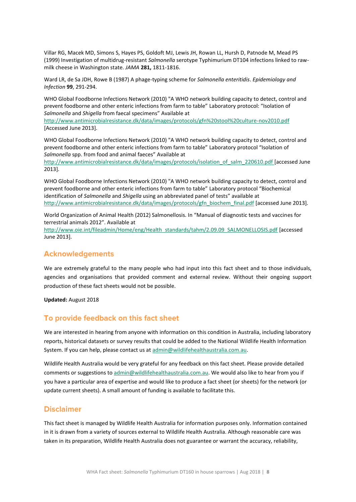Villar RG, Macek MD, Simons S, Hayes PS, Goldoft MJ, Lewis JH, Rowan LL, Hursh D, Patnode M, Mead PS (1999) Investigation of multidrug-resistant *Salmonella* serotype Typhimurium DT104 infections linked to rawmilk cheese in Washington state. *JAMA* **281,** 1811-1816.

Ward LR, de Sa JDH, Rowe B (1987) A phage-typing scheme for *Salmonella enteritidis*. *Epidemiology and Infection* **99**, 291-294.

WHO Global Foodborne Infections Network (2010) "A WHO network building capacity to detect, control and prevent foodborne and other enteric infections from farm to table" Laboratory protocol: "Isolation of *Salmonella* and *Shigella* from faecal specimens" Available at

http://www.antimicrobialresistance.dk/data/images/protocols/gfn%20stool%20culture-nov2010.pdf [Accessed June 2013].

WHO Global Foodborne Infections Network (2010) "A WHO network building capacity to detect, control and prevent foodborne and other enteric infections from farm to table" Laboratory protocol "Isolation of *Salmonella* spp. from food and animal faeces" Available at http://www.antimicrobialresistance.dk/data/images/protocols/isolation\_of\_salm\_220610.pdf [accessed June 2013].

WHO Global Foodborne Infections Network (2010) "A WHO network building capacity to detect, control and prevent foodborne and other enteric infections from farm to table" Laboratory protocol "Biochemical identification of *Salmonella* and *Shigella* using an abbreviated panel of tests" available at http://www.antimicrobialresistance.dk/data/images/protocols/gfn\_biochem\_final.pdf [accessed June 2013].

World Organization of Animal Health (2012) Salmonellosis. In "Manual of diagnostic tests and vaccines for terrestrial animals 2012". Available at

http://www.oie.int/fileadmin/Home/eng/Health\_standards/tahm/2.09.09\_SALMONELLOSIS.pdf [accessed June 2013].

#### **Acknowledgements**

We are extremely grateful to the many people who had input into this fact sheet and to those individuals, agencies and organisations that provided comment and external review. Without their ongoing support production of these fact sheets would not be possible.

**Updated:** August 2018

# To provide feedback on this fact sheet

We are interested in hearing from anyone with information on this condition in Australia, including laboratory reports, historical datasets or survey results that could be added to the National Wildlife Health Information System. If you can help, please contact us at [admin@wildlifehealthaustralia.com.au.](mailto:admin@wildlifehealthaustralia.com.au)

Wildlife Health Australia would be very grateful for any feedback on this fact sheet. Please provide detailed comments or suggestions to admin@wildlifehealthaustralia.com.au. We would also like to hear from you if you have a particular area of expertise and would like to produce a fact sheet (or sheets) for the network (or update current sheets). A small amount of funding is available to facilitate this.

#### **Disclaimer**

This fact sheet is managed by Wildlife Health Australia for information purposes only. Information contained in it is drawn from a variety of sources external to Wildlife Health Australia. Although reasonable care was taken in its preparation, Wildlife Health Australia does not guarantee or warrant the accuracy, reliability,